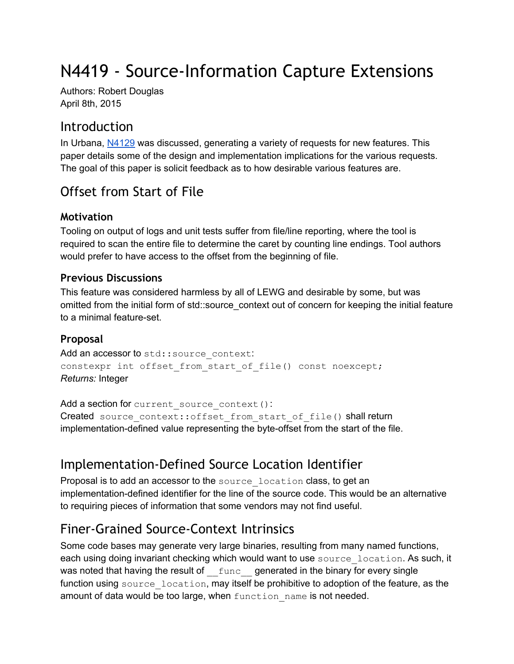# N4419 - Source-Information Capture Extensions

Authors: Robert Douglas April 8th, 2015

#### Introduction

In Urbana, [N4129](http://www.open-std.org/jtc1/sc22/wg21/docs/papers/2014/n4129.pdf) was discussed, generating a variety of requests for new features. This paper details some of the design and implementation implications for the various requests. The goal of this paper is solicit feedback as to how desirable various features are.

# Offset from Start of File

#### **Motivation**

Tooling on output of logs and unit tests suffer from file/line reporting, where the tool is required to scan the entire file to determine the caret by counting line endings. Tool authors would prefer to have access to the offset from the beginning of file.

#### **Previous Discussions**

This feature was considered harmless by all of LEWG and desirable by some, but was omitted from the initial form of std::source\_context out of concern for keeping the initial feature to a minimal feature-set.

#### **Proposal**

Add an accessor to std:: source\_context: constexpr int offset from start of file() const noexcept; *Returns:* Integer

Add a section for current source context(): Created source context::offset from start of file() shall return implementation-defined value representing the byte-offset from the start of the file.

### Implementation-Defined Source Location Identifier

Proposal is to add an accessor to the source location class, to get an implementation-defined identifier for the line of the source code. This would be an alternative to requiring pieces of information that some vendors may not find useful.

### Finer-Grained Source-Context Intrinsics

Some code bases may generate very large binaries, resulting from many named functions, each using doing invariant checking which would want to use source location. As such, it was noted that having the result of \_\_func\_\_generated in the binary for every single function using source location, may itself be prohibitive to adoption of the feature, as the amount of data would be too large, when function name is not needed.